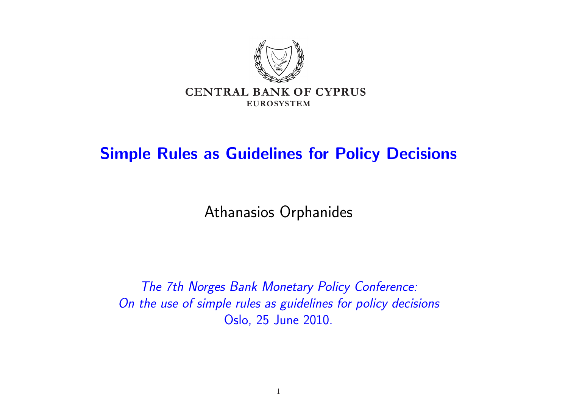

### Simple Rules as Guidelines for Policy Decisions

Athanasios Orphanides

The 7th Norges Bank Monetary Policy Conference: On the use of simple rules as guidelines for policy decisions Oslo, 25 June 2010.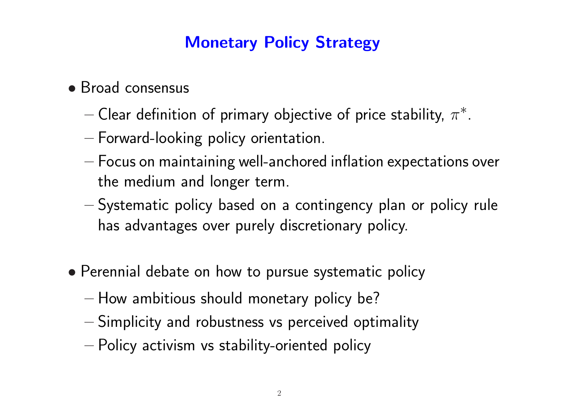## Monetary Policy Strategy

- Broad consensus
	- $-$  Clear definition of primary objective of price stability,  $\pi^*.$
	- Forward-looking policy orientation.
	- Focus on maintaining well-anchored inflation expectations over the medium and longer term.
	- Systematic policy based on a contingency plan or policy rule has advantages over purely discretionary policy.
- Perennial debate on how to pursue systematic policy
	- How ambitious should monetary policy be?
	- Simplicity and robustness vs perceived optimality
	- Policy activism vs stability-oriented policy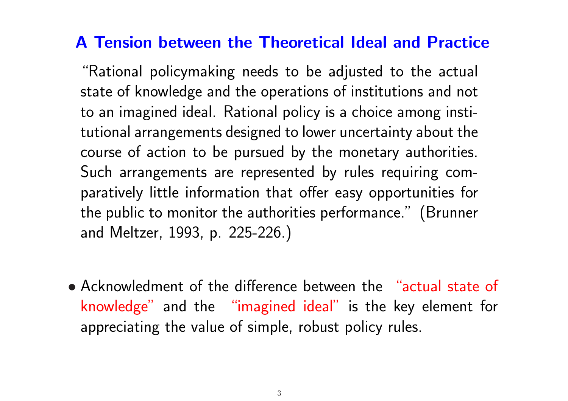### A Tension between the Theoretical Ideal and Practice

"Rational policymaking needs to be adjusted to the actual state of knowledge and the operations of institutions and not to an imagined ideal. Rational policy is a choice among institutional arrangements designed to lower uncertainty about the course of action to be pursued by the monetary authorities. Such arrangements are represented by rules requiring comparatively little information that offer easy opportunities for the public to monitor the authorities performance." (Brunner and Meltzer, 1993, p. 225-226.)

• Acknowledment of the difference between the "actual state of knowledge" and the "imagined ideal" is the key element for appreciating the value of simple, robust policy rules.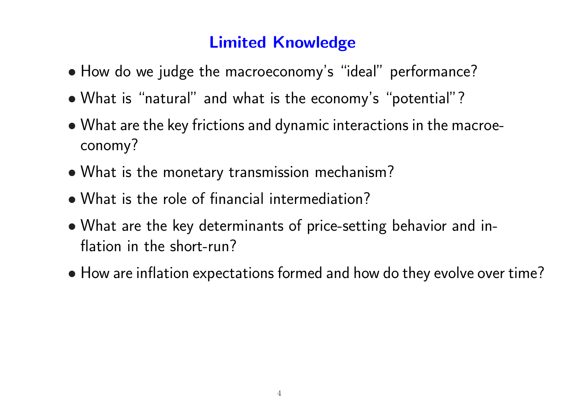## Limited Knowledge

- How do we judge the macroeconomy's "ideal" performance?
- What is "natural" and what is the economy's "potential"?
- What are the key frictions and dynamic interactions in the macroeconomy?
- What is the monetary transmission mechanism?
- What is the role of financial intermediation?
- What are the key determinants of price-setting behavior and inflation in the short-run?
- How are inflation expectations formed and how do they evolve over time?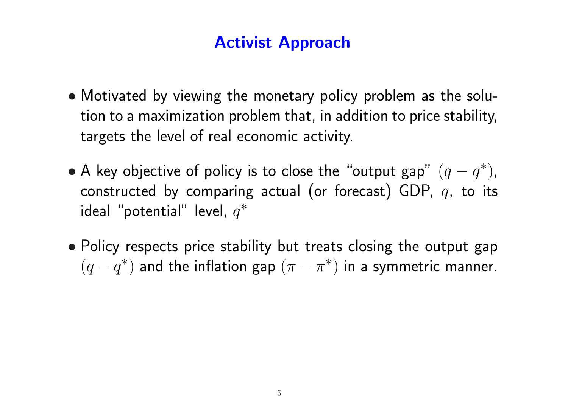### Activist Approach

- Motivated by viewing the monetary policy problem as the solution to a maximization problem that, in addition to price stability, targets the level of real economic activity.
- A key objective of policy is to close the "output gap"  $(q q^*),$ constructed by comparing actual (or forecast) GDP,  $q$ , to its ideal "potential" level,  $q^*$
- Policy respects price stability but treats closing the output gap  $(q - q^*)$  and the inflation gap  $(\pi - \pi^*)$  in a symmetric manner.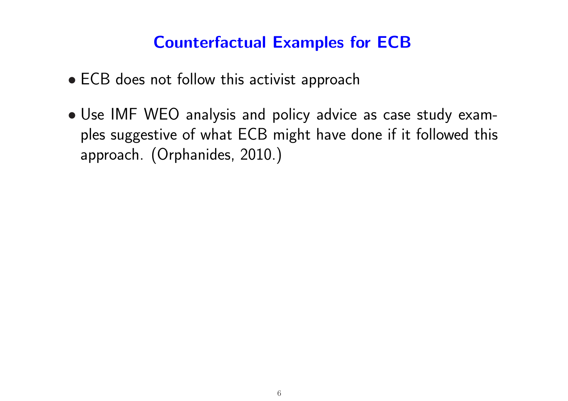### Counterfactual Examples for ECB

- ECB does not follow this activist approach
- Use IMF WEO analysis and policy advice as case study examples suggestive of what ECB might have done if it followed this approach. (Orphanides, 2010.)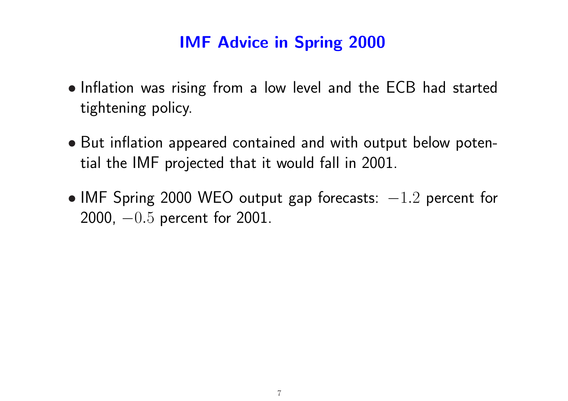### IMF Advice in Spring 2000

- Inflation was rising from a low level and the ECB had started tightening policy.
- But inflation appeared contained and with output below potential the IMF projected that it would fall in 2001.
- IMF Spring 2000 WEO output gap forecasts:  $-1.2$  percent for 2000, −0.5 percent for 2001.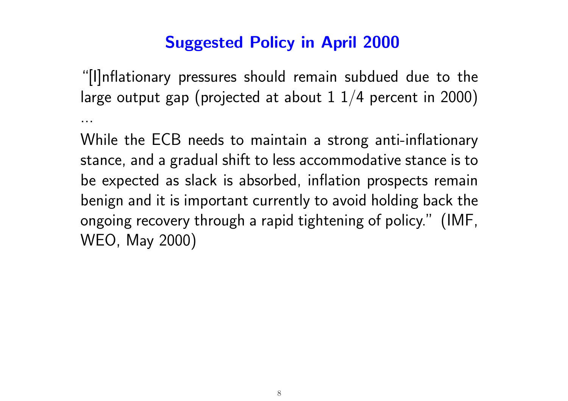## Suggested Policy in April 2000

"[I]nflationary pressures should remain subdued due to the large output gap (projected at about  $1 \frac{1}{4}$  percent in 2000) ...

While the ECB needs to maintain a strong anti-inflationary stance, and a gradual shift to less accommodative stance is to be expected as slack is absorbed, inflation prospects remain benign and it is important currently to avoid holding back the ongoing recovery through a rapid tightening of policy." (IMF, WEO, May 2000)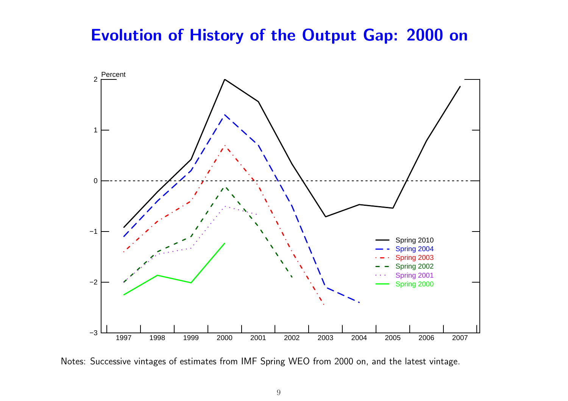#### Evolution of History of the Output Gap: 2000 on



Notes: Successive vintages of estimates from IMF Spring WEO from 2000 on, and the latest vintage.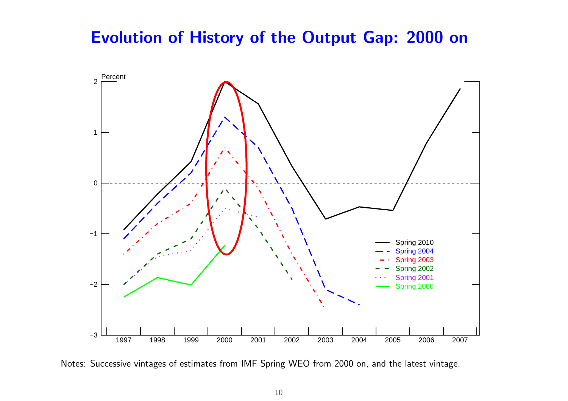#### Evolution of History of the Output Gap: 2000 on



Notes: Successive vintages of estimates from IMF Spring WEO from 2000 on, and the latest vintage.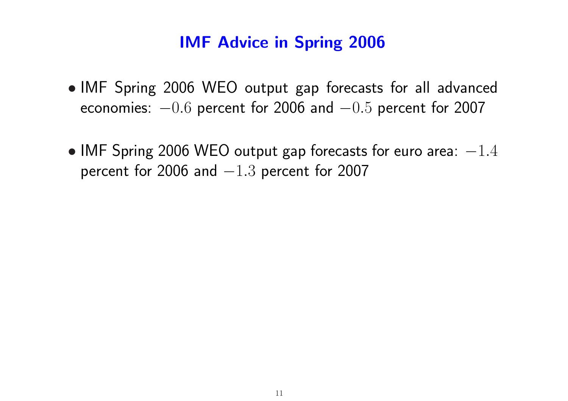### IMF Advice in Spring 2006

- IMF Spring 2006 WEO output gap forecasts for all advanced economies:  $-0.6$  percent for 2006 and  $-0.5$  percent for 2007
- IMF Spring 2006 WEO output gap forecasts for euro area:  $-1.4$ percent for 2006 and  $-1.3$  percent for 2007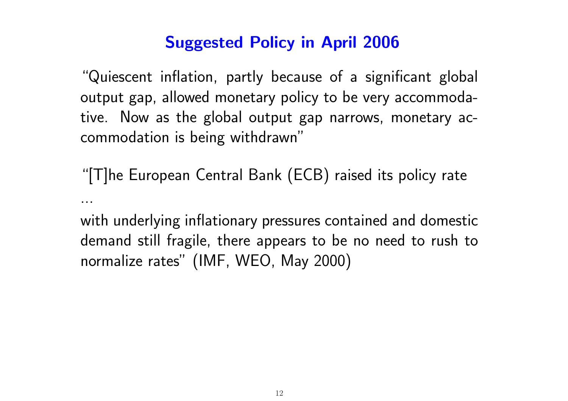## Suggested Policy in April 2006

"Quiescent inflation, partly because of a significant global output gap, allowed monetary policy to be very accommodative. Now as the global output gap narrows, monetary accommodation is being withdrawn"

"[T]he European Central Bank (ECB) raised its policy rate ...

with underlying inflationary pressures contained and domestic demand still fragile, there appears to be no need to rush to normalize rates" (IMF, WEO, May 2000)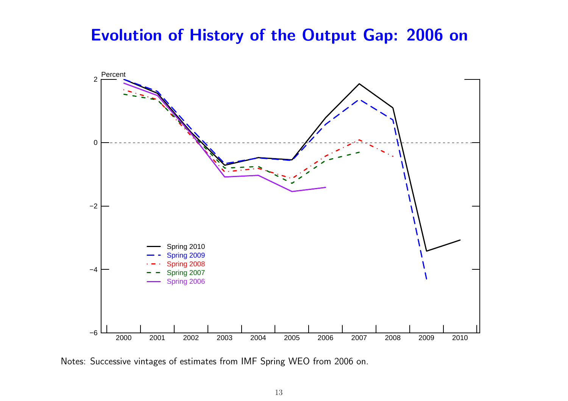#### Evolution of History of the Output Gap: 2006 on



Notes: Successive vintages of estimates from IMF Spring WEO from 2006 on.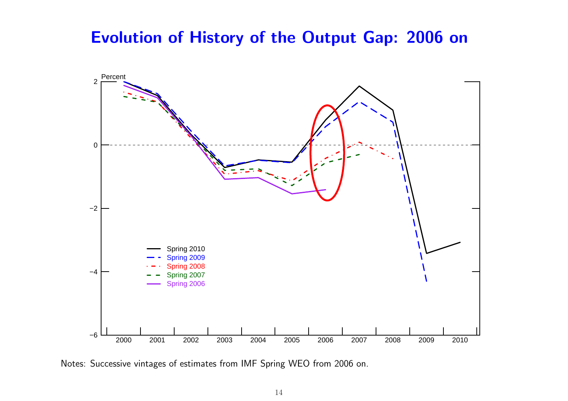#### Evolution of History of the Output Gap: 2006 on



Notes: Successive vintages of estimates from IMF Spring WEO from 2006 on.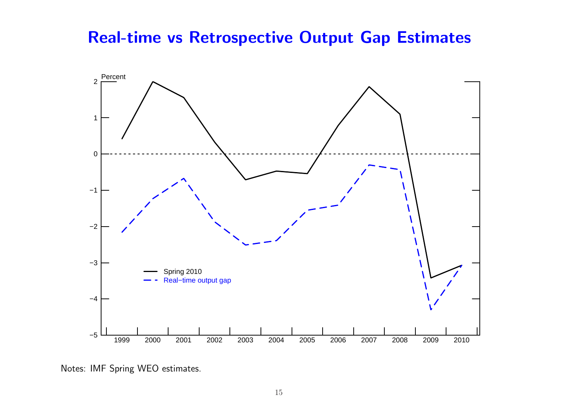#### Real-time vs Retrospective Output Gap Estimates



Notes: IMF Spring WEO estimates.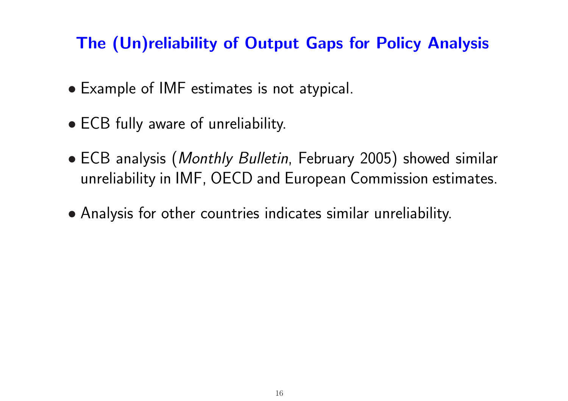## The (Un)reliability of Output Gaps for Policy Analysis

- Example of IMF estimates is not atypical.
- ECB fully aware of unreliability.
- ECB analysis (*Monthly Bulletin*, February 2005) showed similar unreliability in IMF, OECD and European Commission estimates.
- Analysis for other countries indicates similar unreliability.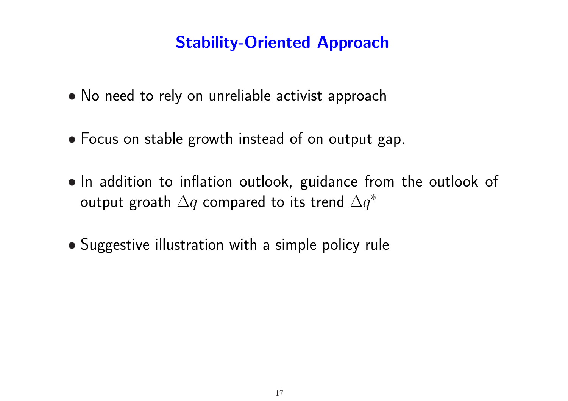### Stability-Oriented Approach

- No need to rely on unreliable activist approach
- Focus on stable growth instead of on output gap.
- In addition to inflation outlook, guidance from the outlook of output groath  $\Delta q$  compared to its trend  $\Delta q^*$
- Suggestive illustration with a simple policy rule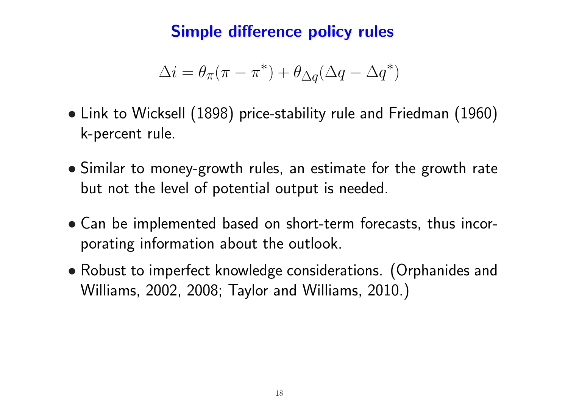### Simple difference policy rules

$$
\Delta i = \theta_{\pi}(\pi - \pi^*) + \theta_{\Delta q}(\Delta q - \Delta q^*)
$$

- Link to Wicksell (1898) price-stability rule and Friedman (1960) k-percent rule.
- Similar to money-growth rules, an estimate for the growth rate but not the level of potential output is needed.
- Can be implemented based on short-term forecasts, thus incorporating information about the outlook.
- Robust to imperfect knowledge considerations. (Orphanides and Williams, 2002, 2008; Taylor and Williams, 2010.)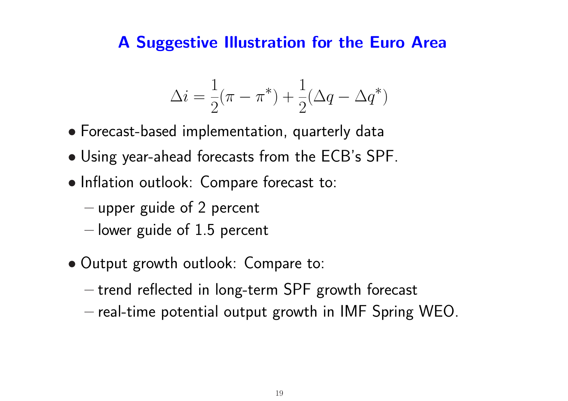#### A Suggestive Illustration for the Euro Area

$$
\Delta i = \frac{1}{2}(\pi - \pi^*) + \frac{1}{2}(\Delta q - \Delta q^*)
$$

- Forecast-based implementation, quarterly data
- Using year-ahead forecasts from the ECB's SPF.
- Inflation outlook: Compare forecast to:
	- upper guide of 2 percent
	- $-$  lower guide of 1.5 percent
- Output growth outlook: Compare to:
	- trend reflected in long-term SPF growth forecast
	- real-time potential output growth in IMF Spring WEO.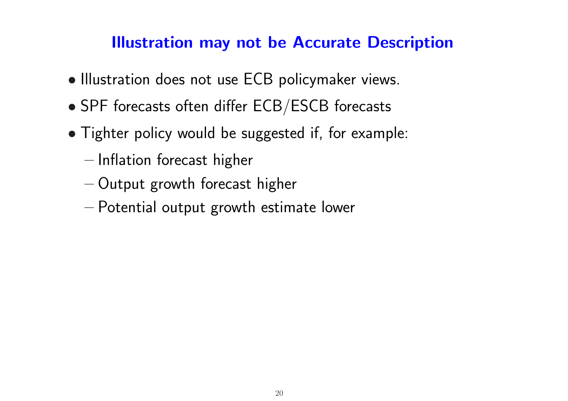### Illustration may not be Accurate Description

- Illustration does not use ECB policymaker views.
- SPF forecasts often differ ECB/ESCB forecasts
- Tighter policy would be suggested if, for example:
	- Inflation forecast higher
	- Output growth forecast higher
	- Potential output growth estimate lower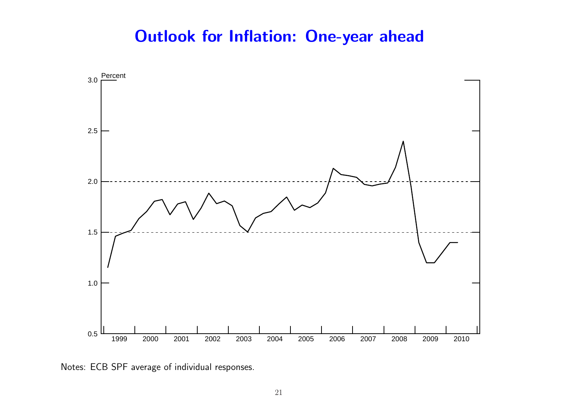### Outlook for Inflation: One-year ahead



Notes: ECB SPF average of individual responses.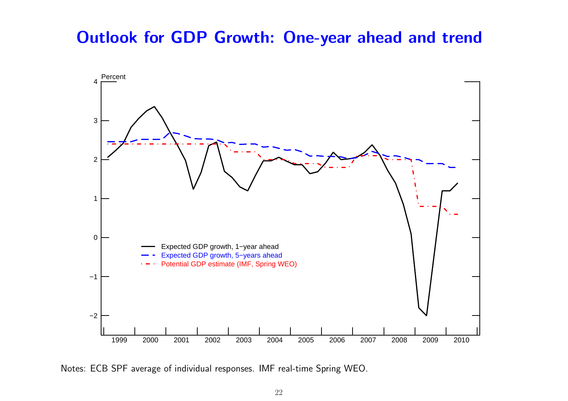#### Outlook for GDP Growth: One-year ahead and trend



Notes: ECB SPF average of individual responses. IMF real-time Spring WEO.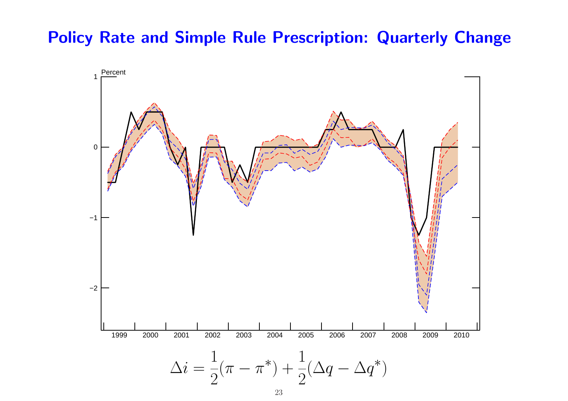#### Policy Rate and Simple Rule Prescription: Quarterly Change

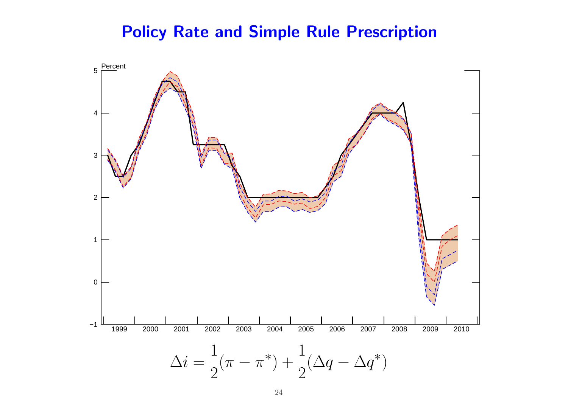### Policy Rate and Simple Rule Prescription

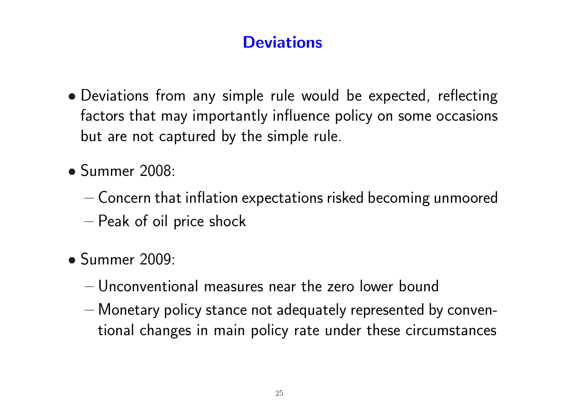# **Deviations**

- Deviations from any simple rule would be expected, reflecting factors that may importantly influence policy on some occasions but are not captured by the simple rule.
- Summer 2008:
	- Concern that inflation expectations risked becoming unmoored
	- Peak of oil price shock
- Summer 2009:
	- Unconventional measures near the zero lower bound
	- Monetary policy stance not adequately represented by conventional changes in main policy rate under these circumstances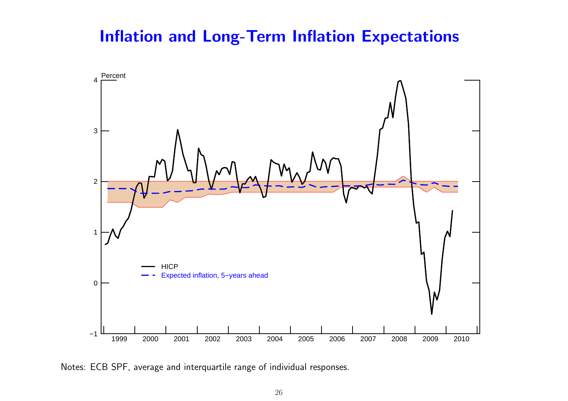### Inflation and Long-Term Inflation Expectations



Notes: ECB SPF, average and interquartile range of individual responses.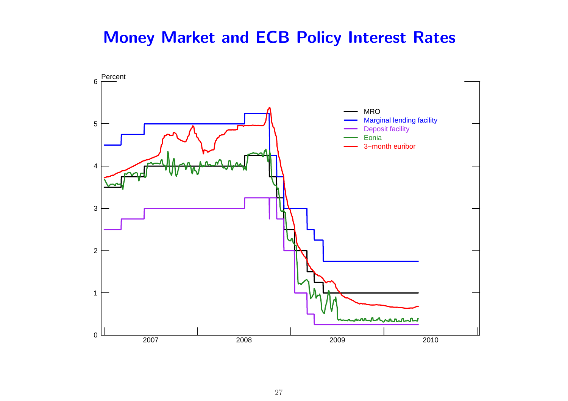### Money Market and ECB Policy Interest Rates